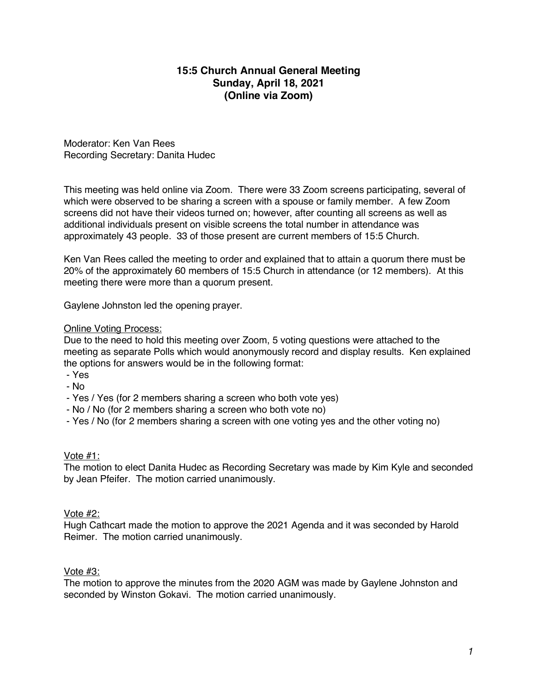# **15:5 Church Annual General Meeting Sunday, April 18, 2021 (Online via Zoom)**

Moderator: Ken Van Rees Recording Secretary: Danita Hudec

This meeting was held online via Zoom. There were 33 Zoom screens participating, several of which were observed to be sharing a screen with a spouse or family member. A few Zoom screens did not have their videos turned on; however, after counting all screens as well as additional individuals present on visible screens the total number in attendance was approximately 43 people. 33 of those present are current members of 15:5 Church.

Ken Van Rees called the meeting to order and explained that to attain a quorum there must be 20% of the approximately 60 members of 15:5 Church in attendance (or 12 members). At this meeting there were more than a quorum present.

Gaylene Johnston led the opening prayer.

### Online Voting Process:

Due to the need to hold this meeting over Zoom, 5 voting questions were attached to the meeting as separate Polls which would anonymously record and display results. Ken explained the options for answers would be in the following format:

- Yes
- No
- Yes / Yes (for 2 members sharing a screen who both vote yes)
- No / No (for 2 members sharing a screen who both vote no)
- Yes / No (for 2 members sharing a screen with one voting yes and the other voting no)

#### Vote #1:

The motion to elect Danita Hudec as Recording Secretary was made by Kim Kyle and seconded by Jean Pfeifer. The motion carried unanimously.

#### Vote #2:

Hugh Cathcart made the motion to approve the 2021 Agenda and it was seconded by Harold Reimer. The motion carried unanimously.

#### Vote #3:

The motion to approve the minutes from the 2020 AGM was made by Gaylene Johnston and seconded by Winston Gokavi. The motion carried unanimously.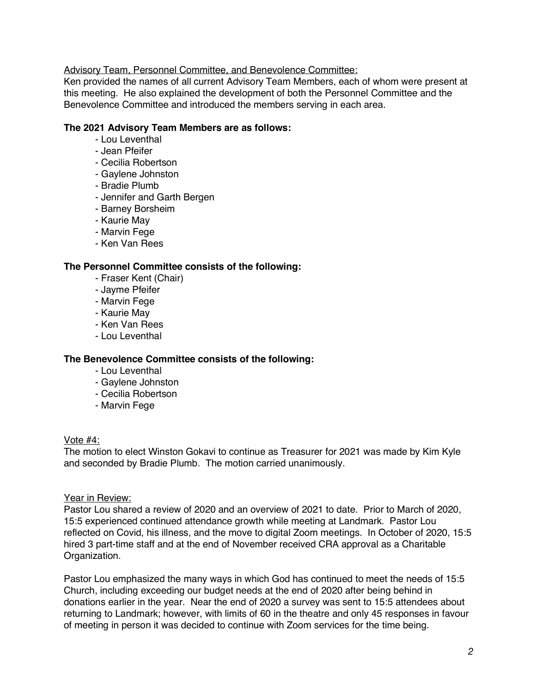# Advisory Team, Personnel Committee, and Benevolence Committee:

Ken provided the names of all current Advisory Team Members, each of whom were present at this meeting. He also explained the development of both the Personnel Committee and the Benevolence Committee and introduced the members serving in each area.

### **The 2021 Advisory Team Members are as follows:**

- Lou Leventhal
- Jean Pfeifer
- Cecilia Robertson
- Gaylene Johnston
- Bradie Plumb
- Jennifer and Garth Bergen
- Barney Borsheim
- Kaurie May
- Marvin Fege
- Ken Van Rees

### **The Personnel Committee consists of the following:**

- Fraser Kent (Chair)
- Jayme Pfeifer
- Marvin Fege
- Kaurie May
- Ken Van Rees
- Lou Leventhal

#### **The Benevolence Committee consists of the following:**

- Lou Leventhal
- Gaylene Johnston
- Cecilia Robertson
- Marvin Fege

#### Vote #4:

The motion to elect Winston Gokavi to continue as Treasurer for 2021 was made by Kim Kyle and seconded by Bradie Plumb. The motion carried unanimously.

#### Year in Review:

Pastor Lou shared a review of 2020 and an overview of 2021 to date. Prior to March of 2020, 15:5 experienced continued attendance growth while meeting at Landmark. Pastor Lou reflected on Covid, his illness, and the move to digital Zoom meetings. In October of 2020, 15:5 hired 3 part-time staff and at the end of November received CRA approval as a Charitable Organization.

Pastor Lou emphasized the many ways in which God has continued to meet the needs of 15:5 Church, including exceeding our budget needs at the end of 2020 after being behind in donations earlier in the year. Near the end of 2020 a survey was sent to 15:5 attendees about returning to Landmark; however, with limits of 60 in the theatre and only 45 responses in favour of meeting in person it was decided to continue with Zoom services for the time being.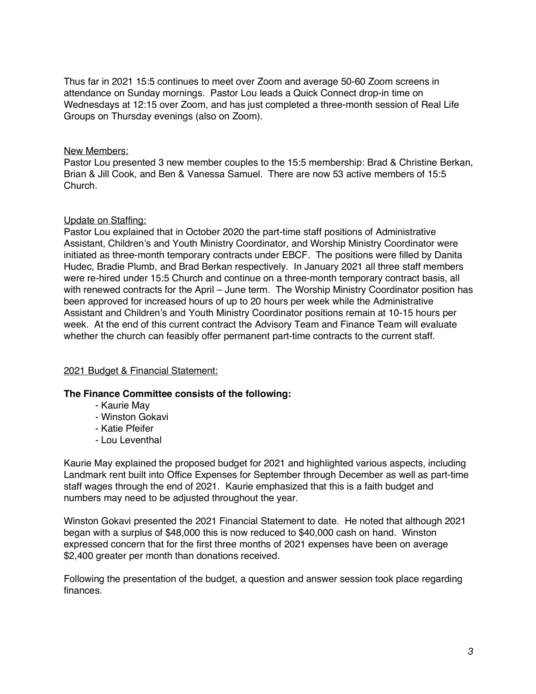Thus far in 2021 15:5 continues to meet over Zoom and average 50-60 Zoom screens in attendance on Sunday mornings. Pastor Lou leads a Quick Connect drop-in time on Wednesdays at 12:15 over Zoom, and has just completed a three-month session of Real Life Groups on Thursday evenings (also on Zoom).

# New Members:

Pastor Lou presented 3 new member couples to the 15:5 membership: Brad & Christine Berkan, Brian & Jill Cook, and Ben & Vanessa Samuel. There are now 53 active members of 15:5 Church.

### Update on Staffing:

Pastor Lou explained that in October 2020 the part-time staff positions of Administrative Assistant, Children's and Youth Ministry Coordinator, and Worship Ministry Coordinator were initiated as three-month temporary contracts under EBCF. The positions were filled by Danita Hudec, Bradie Plumb, and Brad Berkan respectively. In January 2021 all three staff members were re-hired under 15:5 Church and continue on a three-month temporary contract basis, all with renewed contracts for the April – June term. The Worship Ministry Coordinator position has been approved for increased hours of up to 20 hours per week while the Administrative Assistant and Children's and Youth Ministry Coordinator positions remain at 10-15 hours per week. At the end of this current contract the Advisory Team and Finance Team will evaluate whether the church can feasibly offer permanent part-time contracts to the current staff.

# 2021 Budget & Financial Statement:

# **The Finance Committee consists of the following:**

- Kaurie May
- Winston Gokavi
- Katie Pfeifer
- Lou Leventhal

Kaurie May explained the proposed budget for 2021 and highlighted various aspects, including Landmark rent built into Office Expenses for September through December as well as part-time staff wages through the end of 2021. Kaurie emphasized that this is a faith budget and numbers may need to be adjusted throughout the year.

Winston Gokavi presented the 2021 Financial Statement to date. He noted that although 2021 began with a surplus of \$48,000 this is now reduced to \$40,000 cash on hand. Winston expressed concern that for the first three months of 2021 expenses have been on average \$2,400 greater per month than donations received.

Following the presentation of the budget, a question and answer session took place regarding finances.